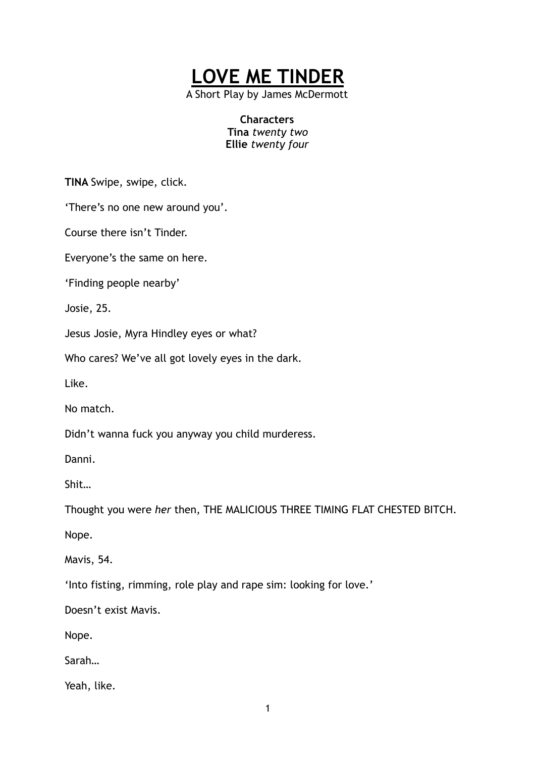

A Short Play by James McDermott

**Characters Tina** *twenty two*  **Ellie** *twenty four* 

**TINA** Swipe, swipe, click.

'There's no one new around you'.

Course there isn't Tinder.

Everyone's the same on here.

'Finding people nearby'

Josie, 25.

Jesus Josie, Myra Hindley eyes or what?

Who cares? We've all got lovely eyes in the dark.

Like.

No match.

Didn't wanna fuck you anyway you child murderess.

Danni.

Shit…

Thought you were *her* then, THE MALICIOUS THREE TIMING FLAT CHESTED BITCH.

Nope.

Mavis, 54.

'Into fisting, rimming, role play and rape sim: looking for love.'

Doesn't exist Mavis.

Nope.

Sarah…

Yeah, like.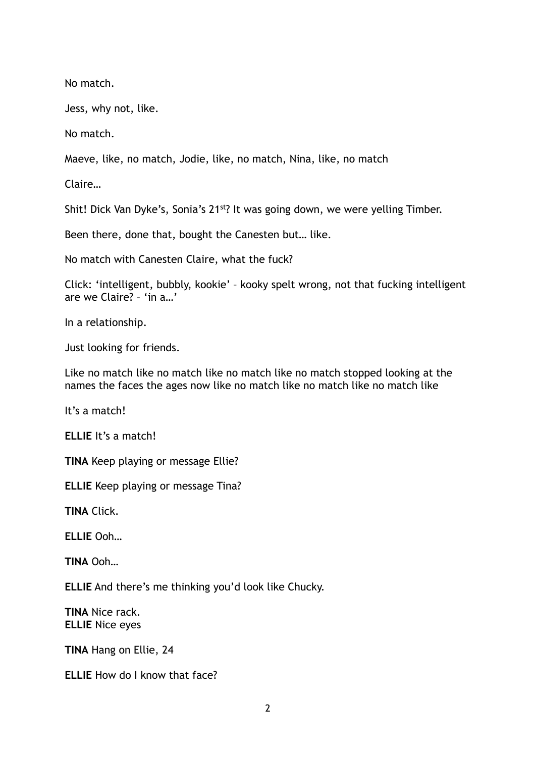No match.

Jess, why not, like.

No match.

Maeve, like, no match, Jodie, like, no match, Nina, like, no match

Claire…

Shit! Dick Van Dyke's, Sonia's 21<sup>st</sup>? It was going down, we were yelling Timber.

Been there, done that, bought the Canesten but… like.

No match with Canesten Claire, what the fuck?

Click: 'intelligent, bubbly, kookie' – kooky spelt wrong, not that fucking intelligent are we Claire? – 'in a…'

In a relationship.

Just looking for friends.

Like no match like no match like no match like no match stopped looking at the names the faces the ages now like no match like no match like no match like

It's a match!

**ELLIE** It's a match!

**TINA** Keep playing or message Ellie?

**ELLIE** Keep playing or message Tina?

**TINA** Click.

**ELLIE** Ooh…

**TINA** Ooh…

**ELLIE** And there's me thinking you'd look like Chucky.

**TINA** Nice rack. **ELLIE** Nice eyes

**TINA** Hang on Ellie, 24

**ELLIE** How do I know that face?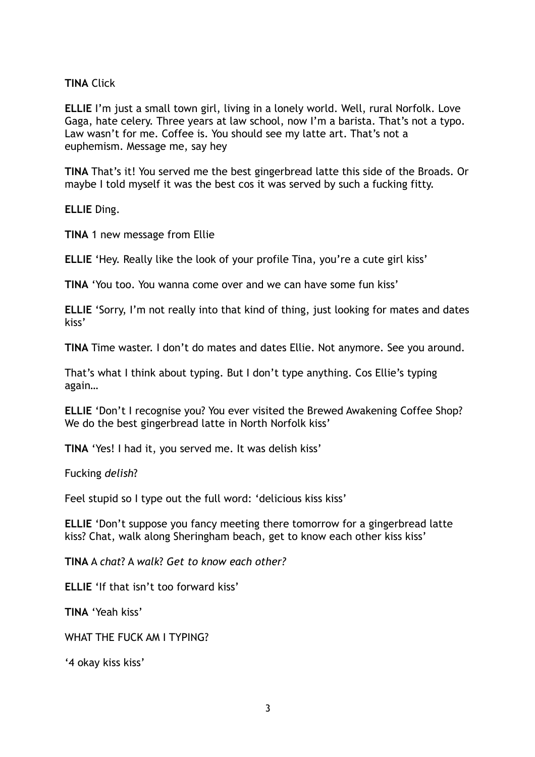**TINA** Click

**ELLIE** I'm just a small town girl, living in a lonely world. Well, rural Norfolk. Love Gaga, hate celery. Three years at law school, now I'm a barista. That's not a typo. Law wasn't for me. Coffee is. You should see my latte art. That's not a euphemism. Message me, say hey

**TINA** That's it! You served me the best gingerbread latte this side of the Broads. Or maybe I told myself it was the best cos it was served by such a fucking fitty.

**ELLIE** Ding.

**TINA** 1 new message from Ellie

**ELLIE** 'Hey. Really like the look of your profile Tina, you're a cute girl kiss'

**TINA** 'You too. You wanna come over and we can have some fun kiss'

**ELLIE** 'Sorry, I'm not really into that kind of thing, just looking for mates and dates kiss'

**TINA** Time waster. I don't do mates and dates Ellie. Not anymore. See you around.

That's what I think about typing. But I don't type anything. Cos Ellie's typing again…

**ELLIE** 'Don't I recognise you? You ever visited the Brewed Awakening Coffee Shop? We do the best gingerbread latte in North Norfolk kiss'

**TINA** 'Yes! I had it, you served me. It was delish kiss'

Fucking *delish*?

Feel stupid so I type out the full word: 'delicious kiss kiss'

**ELLIE** 'Don't suppose you fancy meeting there tomorrow for a gingerbread latte kiss? Chat, walk along Sheringham beach, get to know each other kiss kiss'

**TINA** A *chat*? A *walk*? *Get to know each other?* 

**ELLIE** 'If that isn't too forward kiss'

**TINA** 'Yeah kiss'

WHAT THE FUCK AM I TYPING?

'4 okay kiss kiss'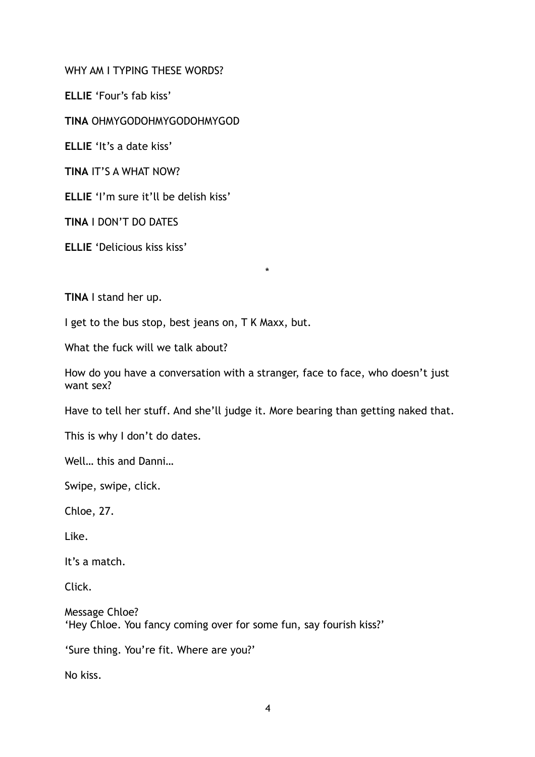WHY AM I TYPING THESE WORDS?

**ELLIE** 'Four's fab kiss'

**TINA** OHMYGODOHMYGODOHMYGOD

**ELLIE** 'It's a date kiss'

**TINA** IT'S A WHAT NOW?

**ELLIE** 'I'm sure it'll be delish kiss'

**TINA** I DON'T DO DATES

**ELLIE** 'Delicious kiss kiss'

**TINA** I stand her up.

I get to the bus stop, best jeans on, T K Maxx, but.

What the fuck will we talk about?

How do you have a conversation with a stranger, face to face, who doesn't just want sex?

\*

Have to tell her stuff. And she'll judge it. More bearing than getting naked that.

This is why I don't do dates.

Well… this and Danni…

Swipe, swipe, click.

Chloe, 27.

Like.

It's a match.

Click.

Message Chloe? 'Hey Chloe. You fancy coming over for some fun, say fourish kiss?'

'Sure thing. You're fit. Where are you?'

No kiss.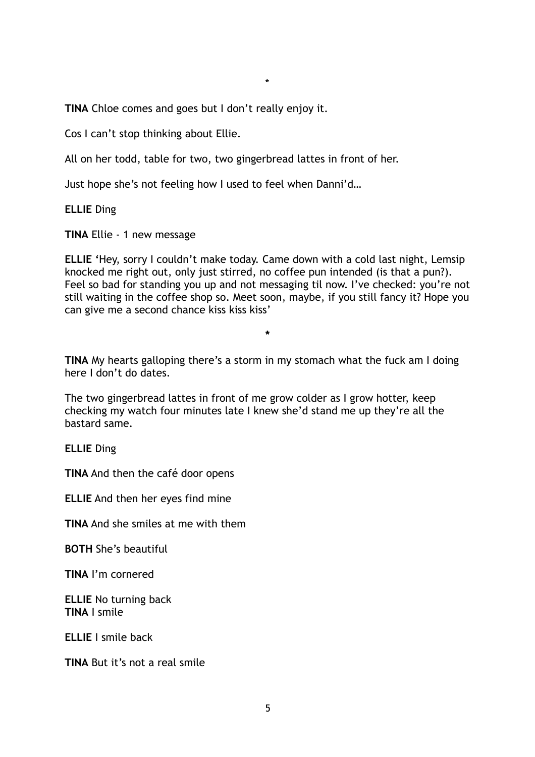\*

**TINA** Chloe comes and goes but I don't really enjoy it.

Cos I can't stop thinking about Ellie.

All on her todd, table for two, two gingerbread lattes in front of her.

Just hope she's not feeling how I used to feel when Danni'd…

**ELLIE** Ding

**TINA** Ellie - 1 new message

**ELLIE '**Hey, sorry I couldn't make today. Came down with a cold last night, Lemsip knocked me right out, only just stirred, no coffee pun intended (is that a pun?). Feel so bad for standing you up and not messaging til now. I've checked: you're not still waiting in the coffee shop so. Meet soon, maybe, if you still fancy it? Hope you can give me a second chance kiss kiss kiss'

**\*** 

**TINA** My hearts galloping there's a storm in my stomach what the fuck am I doing here I don't do dates.

The two gingerbread lattes in front of me grow colder as I grow hotter, keep checking my watch four minutes late I knew she'd stand me up they're all the bastard same.

**ELLIE** Ding

**TINA** And then the café door opens

**ELLIE** And then her eyes find mine

**TINA** And she smiles at me with them

**BOTH** She's beautiful

**TINA** I'm cornered

**ELLIE** No turning back **TINA** I smile

**ELLIE** I smile back

**TINA** But it's not a real smile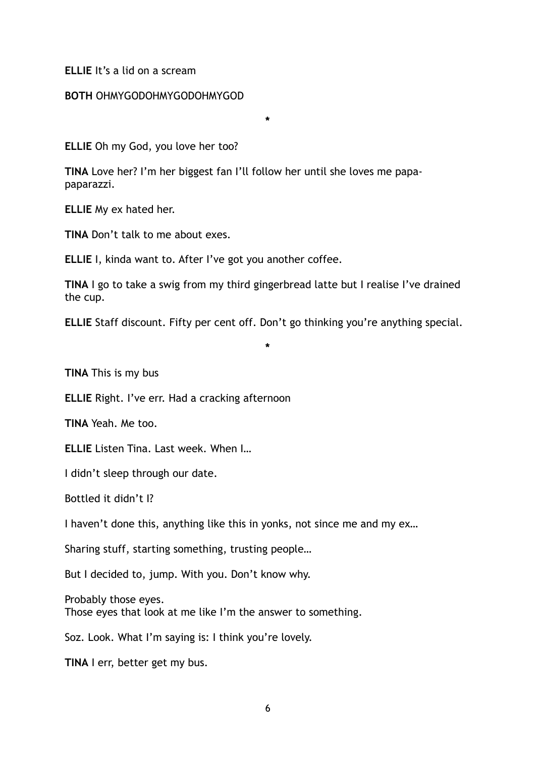## **ELLIE** It's a lid on a scream

## **BOTH** OHMYGODOHMYGODOHMYGOD

**ELLIE** Oh my God, you love her too?

**TINA** Love her? I'm her biggest fan I'll follow her until she loves me papapaparazzi.

**\*** 

**ELLIE** My ex hated her.

**TINA** Don't talk to me about exes.

**ELLIE** I, kinda want to. After I've got you another coffee.

**TINA** I go to take a swig from my third gingerbread latte but I realise I've drained the cup.

**ELLIE** Staff discount. Fifty per cent off. Don't go thinking you're anything special.

**\*** 

**TINA** This is my bus

**ELLIE** Right. I've err. Had a cracking afternoon

**TINA** Yeah. Me too.

**ELLIE** Listen Tina. Last week. When I…

I didn't sleep through our date.

Bottled it didn't I?

I haven't done this, anything like this in yonks, not since me and my ex…

Sharing stuff, starting something, trusting people…

But I decided to, jump. With you. Don't know why.

Probably those eyes. Those eyes that look at me like I'm the answer to something.

Soz. Look. What I'm saying is: I think you're lovely.

**TINA** I err, better get my bus.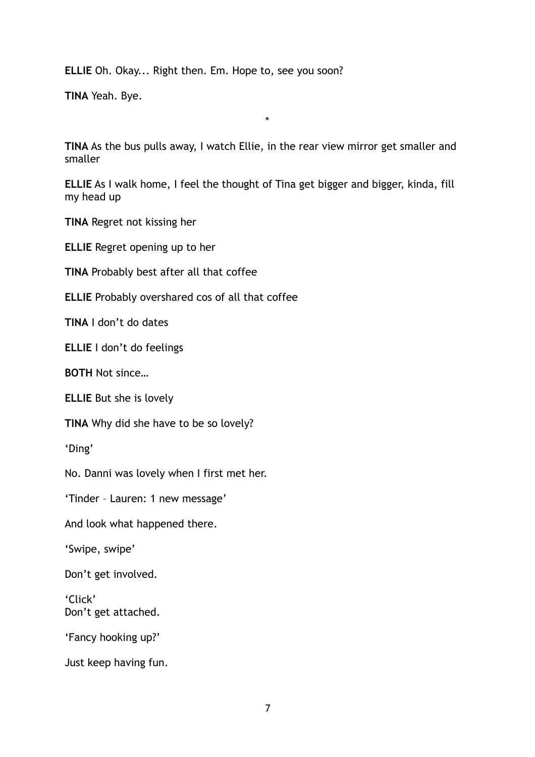**ELLIE** Oh. Okay... Right then. Em. Hope to, see you soon?

**TINA** Yeah. Bye.

**TINA** As the bus pulls away, I watch Ellie, in the rear view mirror get smaller and smaller

\*

**ELLIE** As I walk home, I feel the thought of Tina get bigger and bigger, kinda, fill my head up

**TINA** Regret not kissing her

**ELLIE** Regret opening up to her

**TINA** Probably best after all that coffee

**ELLIE** Probably overshared cos of all that coffee

**TINA** I don't do dates

**ELLIE** I don't do feelings

**BOTH** Not since…

**ELLIE** But she is lovely

**TINA** Why did she have to be so lovely?

'Ding'

No. Danni was lovely when I first met her.

'Tinder – Lauren: 1 new message'

And look what happened there.

'Swipe, swipe'

Don't get involved.

'Click' Don't get attached.

'Fancy hooking up?'

Just keep having fun.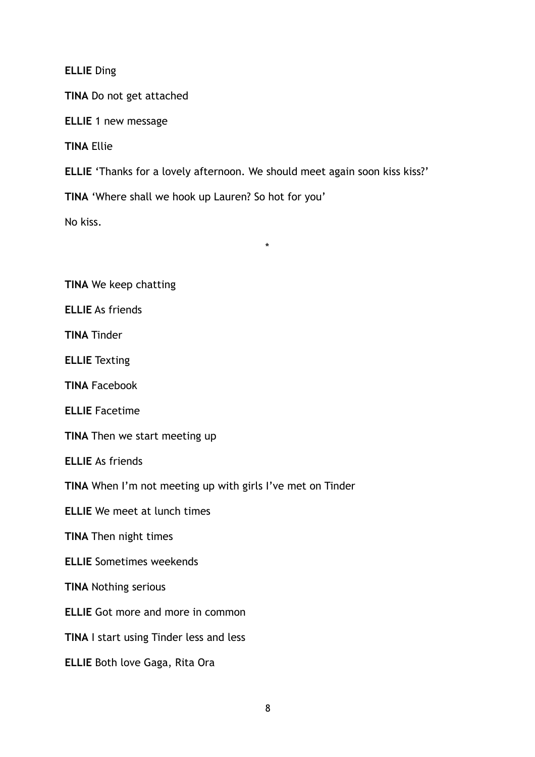**ELLIE** Ding

**TINA** Do not get attached

**ELLIE** 1 new message

**TINA** Ellie

**ELLIE** 'Thanks for a lovely afternoon. We should meet again soon kiss kiss?'

\*

**TINA** 'Where shall we hook up Lauren? So hot for you'

No kiss.

**TINA** We keep chatting

**ELLIE** As friends

**TINA** Tinder

**ELLIE** Texting

**TINA** Facebook

**ELLIE** Facetime

**TINA** Then we start meeting up

**ELLIE** As friends

**TINA** When I'm not meeting up with girls I've met on Tinder

**ELLIE** We meet at lunch times

**TINA** Then night times

**ELLIE** Sometimes weekends

**TINA** Nothing serious

**ELLIE** Got more and more in common

**TINA** I start using Tinder less and less

**ELLIE** Both love Gaga, Rita Ora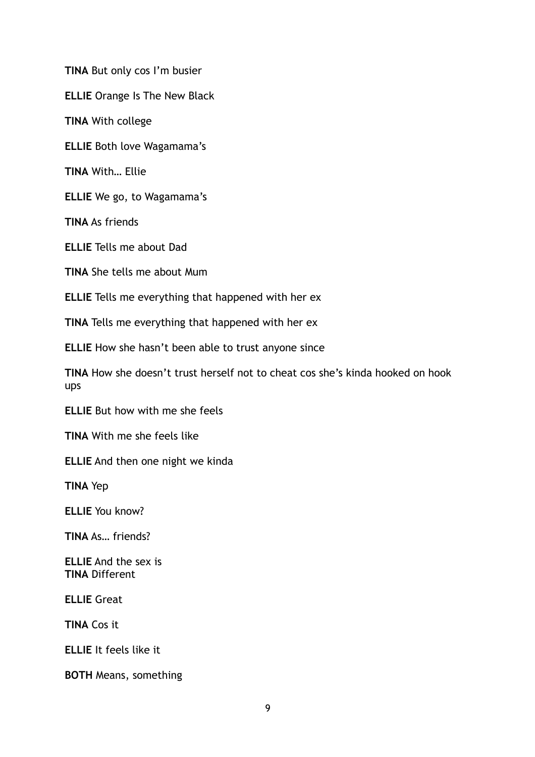**TINA** But only cos I'm busier

**ELLIE** Orange Is The New Black

**TINA** With college

**ELLIE** Both love Wagamama's

**TINA** With… Ellie

**ELLIE** We go, to Wagamama's

**TINA** As friends

**ELLIE** Tells me about Dad

**TINA** She tells me about Mum

**ELLIE** Tells me everything that happened with her ex

**TINA** Tells me everything that happened with her ex

**ELLIE** How she hasn't been able to trust anyone since

**TINA** How she doesn't trust herself not to cheat cos she's kinda hooked on hook ups

**ELLIE** But how with me she feels

**TINA** With me she feels like

**ELLIE** And then one night we kinda

**TINA** Yep

**ELLIE** You know?

**TINA** As… friends?

**ELLIE** And the sex is **TINA** Different

**ELLIE** Great

**TINA** Cos it

**ELLIE** It feels like it

**BOTH** Means, something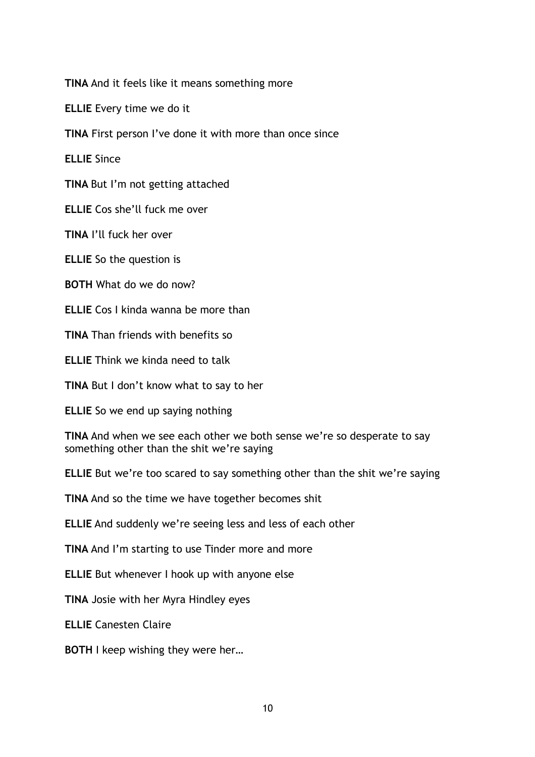**TINA** And it feels like it means something more

**ELLIE** Every time we do it

**TINA** First person I've done it with more than once since

**ELLIE** Since

**TINA** But I'm not getting attached

**ELLIE** Cos she'll fuck me over

**TINA** I'll fuck her over

**ELLIE** So the question is

**BOTH** What do we do now?

**ELLIE** Cos I kinda wanna be more than

**TINA** Than friends with benefits so

**ELLIE** Think we kinda need to talk

**TINA** But I don't know what to say to her

**ELLIE** So we end up saying nothing

**TINA** And when we see each other we both sense we're so desperate to say something other than the shit we're saying

**ELLIE** But we're too scared to say something other than the shit we're saying

**TINA** And so the time we have together becomes shit

**ELLIE** And suddenly we're seeing less and less of each other

**TINA** And I'm starting to use Tinder more and more

**ELLIE** But whenever I hook up with anyone else

**TINA** Josie with her Myra Hindley eyes

**ELLIE** Canesten Claire

**BOTH** I keep wishing they were her...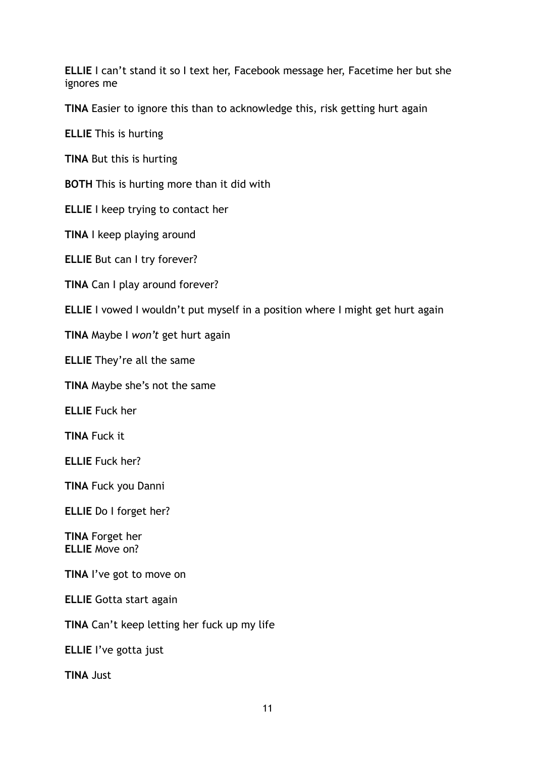**ELLIE** I can't stand it so I text her, Facebook message her, Facetime her but she ignores me

**TINA** Easier to ignore this than to acknowledge this, risk getting hurt again

**ELLIE** This is hurting

**TINA** But this is hurting

**BOTH** This is hurting more than it did with

**ELLIE** I keep trying to contact her

**TINA** I keep playing around

**ELLIE** But can I try forever?

**TINA** Can I play around forever?

**ELLIE** I vowed I wouldn't put myself in a position where I might get hurt again

**TINA** Maybe I *won't* get hurt again

**ELLIE** They're all the same

**TINA** Maybe she's not the same

**ELLIE** Fuck her

**TINA** Fuck it

**ELLIE** Fuck her?

**TINA** Fuck you Danni

**ELLIE** Do I forget her?

**TINA** Forget her **ELLIE** Move on?

**TINA** I've got to move on

**ELLIE** Gotta start again

**TINA** Can't keep letting her fuck up my life

**ELLIE** I've gotta just

**TINA** Just